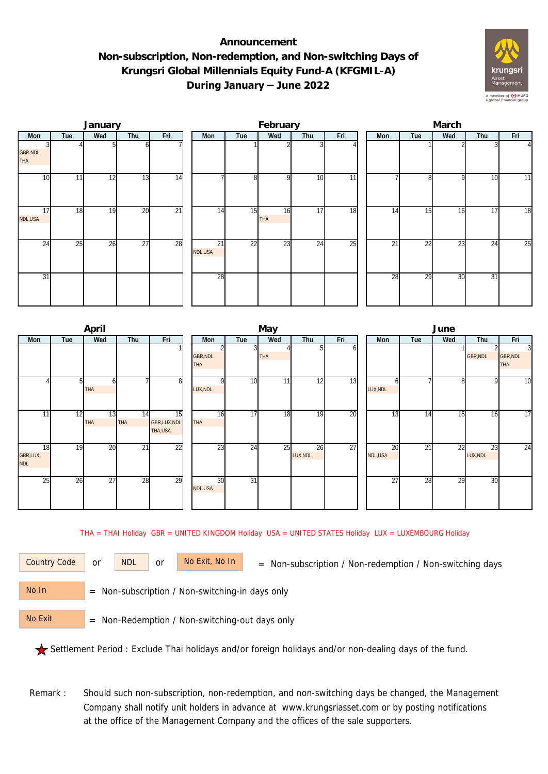## **Announcement Non-subscription, Non-redemption, and Non-switching Days of Krungsri Global Millennials Equity Fund-A (KFGMIL-A) During January – June 2022**



|                 |     | January |                 |                 |                |                | February         |     |     | March |                 |     |     |                |  |  |
|-----------------|-----|---------|-----------------|-----------------|----------------|----------------|------------------|-----|-----|-------|-----------------|-----|-----|----------------|--|--|
| Mon             | Tue | Wed     | Thu             | Fri             | Mon            | Tue            | Wed              | Thu | Fri | Mon   | Tue             | Wed | Thu | Fri            |  |  |
| GBR, NDL<br>THA |     |         |                 |                 |                |                |                  |     |     |       |                 |     |     | $\overline{4}$ |  |  |
| 10              | 11  | 12      | 13              | 14              |                | 8 <sup>1</sup> | $\Omega$         | 10  | 11  |       | $\Omega$        | Q   | 10  | 11             |  |  |
| 17<br>NDL,USA   | 18  | 19      | 20              | $\overline{21}$ | 14             | 15             | 16<br><b>THA</b> | 17  | 18  | 14    | 15              | 16  | 17  | 18             |  |  |
| 24              | 25  | 26      | $\overline{27}$ | 28              | 21<br>NDL, USA | 22             | 23               | 24  | 25  | 21    | $\overline{22}$ | 23  | 24  | 25             |  |  |
| 31              |     |         |                 |                 | 28             |                |                  |     |     | 28    | $\overline{29}$ | 30  | 31  |                |  |  |

|                             |     | April            |                  |                              |                               |                 | May |                |     | June            |     |     |                |                                          |  |  |
|-----------------------------|-----|------------------|------------------|------------------------------|-------------------------------|-----------------|-----|----------------|-----|-----------------|-----|-----|----------------|------------------------------------------|--|--|
| Mon                         | Tue | Wed              | Thu              | Fri                          | Mon                           | Tue             | Wed | Thu            | Fri | Mon             | Tue | Wed | Thu            | Fri                                      |  |  |
|                             |     |                  |                  |                              | <b>GBR, NDL</b><br><b>THA</b> |                 | THA |                | n   |                 |     |     | GBR, NDL       | $\overline{3}$<br>GBR, NDL<br><b>THA</b> |  |  |
|                             | 51  | <b>THA</b>       |                  | 8                            | ΩI<br>LUX, NDL                | 10              | 11  | 12             | 13  | LUX, NDL        |     | 8   | 9              | 10                                       |  |  |
| 11                          | 12  | 13<br><b>THA</b> | 14<br><b>THA</b> | 15<br>GBR,LUX,NDL<br>THA,USA | 16<br><b>THA</b>              | 17              | 18  | 19             | 20  | $1\overline{3}$ | 14  | 15  | 16             | 17                                       |  |  |
| 18<br>GBR,LUX<br><b>NDL</b> | 19  | 20               | 21               | 22                           | 23                            | 24              | 25  | 26<br>LUX, NDL | 27  | 20<br>NDL,USA   | 21  | 22  | 23<br>LUX, NDL | 24                                       |  |  |
| 25                          | 26  | $\overline{27}$  | 28               | 29                           | 30<br>NDL,USA                 | $\overline{31}$ |     |                |     | 27              | 28  | 29  | 30             |                                          |  |  |

THA = THAI Holiday GBR = UNITED KINGDOM Holiday USA = UNITED STATES Holiday LUX = LUXEMBOURG Holiday

or NDL or

Country Code or NDL or No Exit, No In = Non-subscription / Non-redemption / Non-switching days

 = Non-subscription / Non-switching-in days only No In

 = Non-Redemption / Non-switching-out days only No Exit

Settlement Period : Exclude Thai holidays and/or foreign holidays and/or non-dealing days of the fund.

Remark : Should such non-subscription, non-redemption, and non-switching days be changed, the Management Company shall notify unit holders in advance at www.krungsriasset.com or by posting notifications at the office of the Management Company and the offices of the sale supporters.